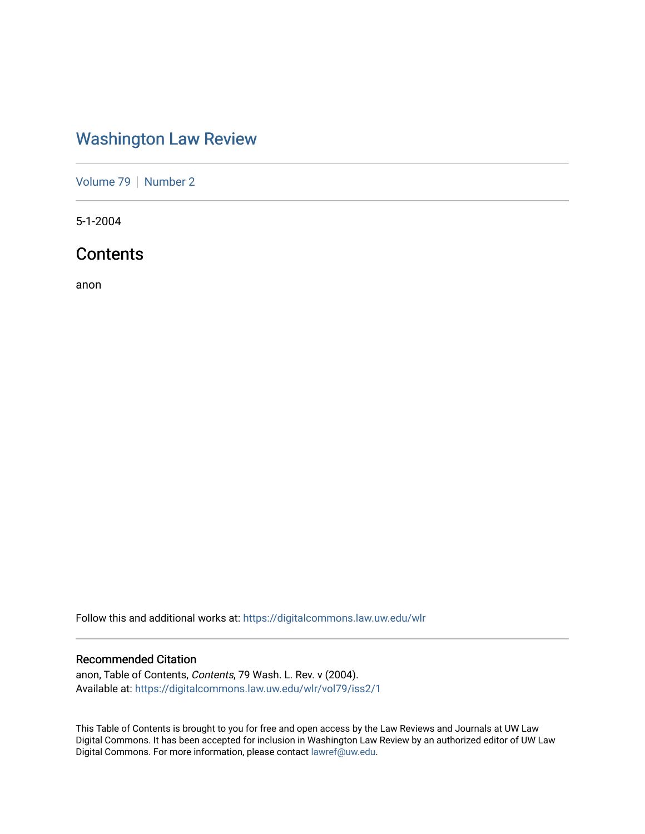## [Washington Law Review](https://digitalcommons.law.uw.edu/wlr)

[Volume 79](https://digitalcommons.law.uw.edu/wlr/vol79) | [Number 2](https://digitalcommons.law.uw.edu/wlr/vol79/iss2)

5-1-2004

### **Contents**

anon

Follow this and additional works at: [https://digitalcommons.law.uw.edu/wlr](https://digitalcommons.law.uw.edu/wlr?utm_source=digitalcommons.law.uw.edu%2Fwlr%2Fvol79%2Fiss2%2F1&utm_medium=PDF&utm_campaign=PDFCoverPages)

### Recommended Citation

anon, Table of Contents, Contents, 79 Wash. L. Rev. v (2004). Available at: [https://digitalcommons.law.uw.edu/wlr/vol79/iss2/1](https://digitalcommons.law.uw.edu/wlr/vol79/iss2/1?utm_source=digitalcommons.law.uw.edu%2Fwlr%2Fvol79%2Fiss2%2F1&utm_medium=PDF&utm_campaign=PDFCoverPages)

This Table of Contents is brought to you for free and open access by the Law Reviews and Journals at UW Law Digital Commons. It has been accepted for inclusion in Washington Law Review by an authorized editor of UW Law Digital Commons. For more information, please contact [lawref@uw.edu.](mailto:lawref@uw.edu)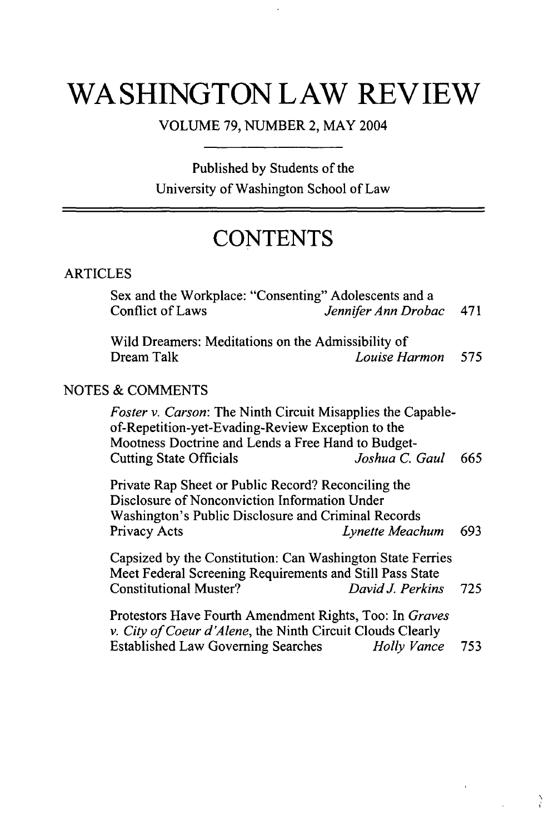# **WASHINGTON LAW REVIEW**

VOLUME 79, NUMBER 2, MAY 2004

Published by Students of the University of Washington School of Law

## **CONTENTS**

### ARTICLES

Sex and the Workplace: "Consenting" Adolescents and a Conflict of Laws *Jennifer Ann Drobac* 471

Wild Dreamers: Meditations on the Admissibility of Dream Talk *Louise Harmon 575*

### NOTES & COMMENTS

*Foster v. Carson:* The Ninth Circuit Misapplies the Capableof-Repetition-yet-Evading-Review Exception to the Mootness Doctrine and Lends a Free Hand to Budget-Cutting State Officials *Joshua C. Gaul 665*

Private Rap Sheet or Public Record? Reconciling the Disclosure of Nonconviction Information Under Washington's Public Disclosure and Criminal Records Privacy Acts *Lynette Meachum* 693

Capsized by the Constitution: Can Washington State Ferries Meet Federal Screening Requirements and Still Pass State Constitutional Muster? *DavidJ. Perkins* 725

Protestors Have Fourth Amendment Rights, Too: In *Graves v. City of Coeur d'Alene,* the Ninth Circuit Clouds Clearly Established Law Governing Searches *Holly Vance* 753

 $\sum_{i=1}^{n}$